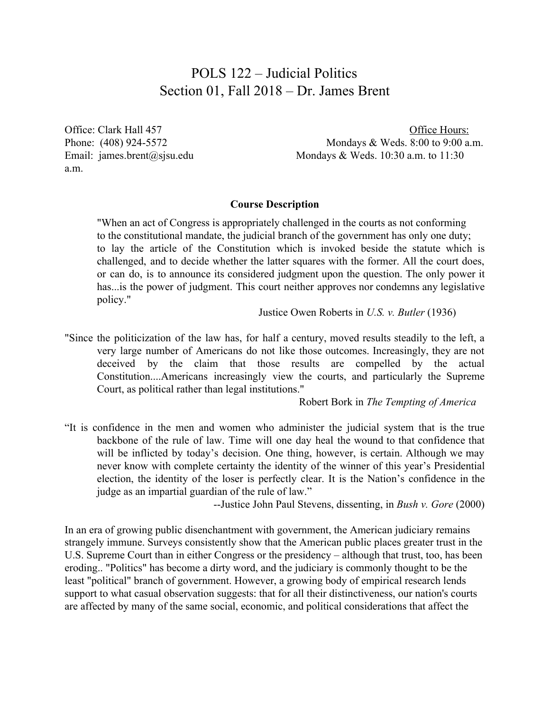## POLS 122 – Judicial Politics Section 01, Fall 2018 – Dr. James Brent

a.m.

Office: Clark Hall 457 Contract Assembly 10. Office Hours: Phone: (408) 924-5572 Mondays & Weds. 8:00 to 9:00 a.m. Email: james.brent@sjsu.edu Mondays & Weds. 10:30 a.m. to 11:30

#### **Course Description**

"When an act of Congress is appropriately challenged in the courts as not conforming to the constitutional mandate, the judicial branch of the government has only one duty; to lay the article of the Constitution which is invoked beside the statute which is challenged, and to decide whether the latter squares with the former. All the court does, or can do, is to announce its considered judgment upon the question. The only power it has... is the power of judgment. This court neither approves nor condemns any legislative policy."

Justice Owen Roberts in *U.S. v. Butler* (1936)

"Since the politicization of the law has, for half a century, moved results steadily to the left, a very large number of Americans do not like those outcomes. Increasingly, they are not deceived by the claim that those results are compelled by the actual Constitution....Americans increasingly view the courts, and particularly the Supreme Court, as political rather than legal institutions."

Robert Bork in *The Tempting of America*

"It is confidence in the men and women who administer the judicial system that is the true backbone of the rule of law. Time will one day heal the wound to that confidence that will be inflicted by today's decision. One thing, however, is certain. Although we may never know with complete certainty the identity of the winner of this year's Presidential election, the identity of the loser is perfectly clear. It is the Nation's confidence in the judge as an impartial guardian of the rule of law."

--Justice John Paul Stevens, dissenting, in *Bush v. Gore* (2000)

In an era of growing public disenchantment with government, the American judiciary remains strangely immune. Surveys consistently show that the American public places greater trust in the U.S. Supreme Court than in either Congress or the presidency – although that trust, too, has been eroding.. "Politics" has become a dirty word, and the judiciary is commonly thought to be the least "political" branch of government. However, a growing body of empirical research lends support to what casual observation suggests: that for all their distinctiveness, our nation's courts are affected by many of the same social, economic, and political considerations that affect the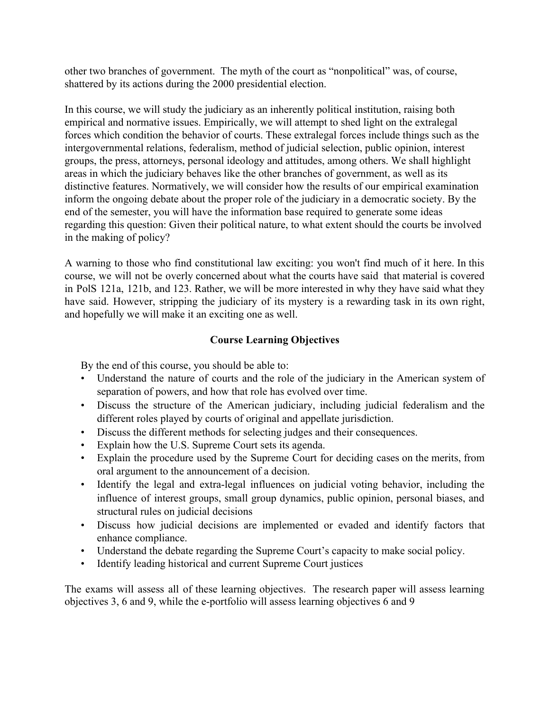other two branches of government. The myth of the court as "nonpolitical" was, of course, shattered by its actions during the 2000 presidential election.

In this course, we will study the judiciary as an inherently political institution, raising both empirical and normative issues. Empirically, we will attempt to shed light on the extralegal forces which condition the behavior of courts. These extralegal forces include things such as the intergovernmental relations, federalism, method of judicial selection, public opinion, interest groups, the press, attorneys, personal ideology and attitudes, among others. We shall highlight areas in which the judiciary behaves like the other branches of government, as well as its distinctive features. Normatively, we will consider how the results of our empirical examination inform the ongoing debate about the proper role of the judiciary in a democratic society. By the end of the semester, you will have the information base required to generate some ideas regarding this question: Given their political nature, to what extent should the courts be involved in the making of policy?

A warning to those who find constitutional law exciting: you won't find much of it here. In this course, we will not be overly concerned about what the courts have said that material is covered in PolS 121a, 121b, and 123. Rather, we will be more interested in why they have said what they have said. However, stripping the judiciary of its mystery is a rewarding task in its own right, and hopefully we will make it an exciting one as well.

### **Course Learning Objectives**

By the end of this course, you should be able to:

- Understand the nature of courts and the role of the judiciary in the American system of separation of powers, and how that role has evolved over time.
- Discuss the structure of the American judiciary, including judicial federalism and the different roles played by courts of original and appellate jurisdiction.
- Discuss the different methods for selecting judges and their consequences.
- Explain how the U.S. Supreme Court sets its agenda.
- Explain the procedure used by the Supreme Court for deciding cases on the merits, from oral argument to the announcement of a decision.
- Identify the legal and extra-legal influences on judicial voting behavior, including the influence of interest groups, small group dynamics, public opinion, personal biases, and structural rules on judicial decisions
- Discuss how judicial decisions are implemented or evaded and identify factors that enhance compliance.
- Understand the debate regarding the Supreme Court's capacity to make social policy.
- Identify leading historical and current Supreme Court justices

The exams will assess all of these learning objectives. The research paper will assess learning objectives 3, 6 and 9, while the e-portfolio will assess learning objectives 6 and 9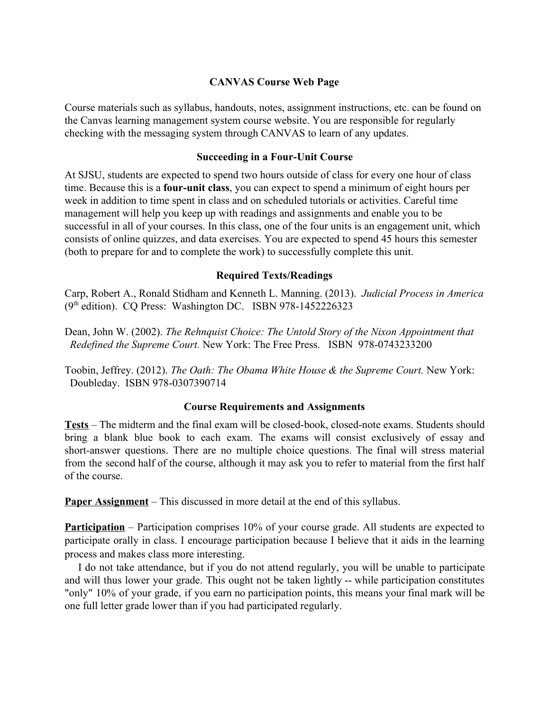### **CANVAS Course Web Page**

Course materials such as syllabus, handouts, notes, assignment instructions, etc. can be found on the Canvas learning management system course website. You are responsible for regularly checking with the messaging system through CANVAS to learn of any updates.

### **Succeeding in a Four-Unit Course**

At SJSU, students are expected to spend two hours outside of class for every one hour of class time. Because this is a **four-unit class**, you can expect to spend a minimum of eight hours per week in addition to time spent in class and on scheduled tutorials or activities. Careful time management will help you keep up with readings and assignments and enable you to be successful in all of your courses. In this class, one of the four units is an engagement unit, which consists of online quizzes, and data exercises. You are expected to spend 45 hours this semester (both to prepare for and to complete the work) to successfully complete this unit.

### **Required Texts/Readings**

Carp, Robert A., Ronald Stidham and Kenneth L. Manning. (2013). *Judicial Process in America* (9<sup>th</sup> edition). CQ Press: Washington DC. ISBN 978-1452226323

Dean, John W. (2002). *The Rehnquist Choice: The Untold Story of the Nixon Appointment that Redefined the Supreme Court.* New York: The Free Press. ISBN 978-0743233200

Toobin, Jeffrey. (2012). *The Oath: The Obama White House & the Supreme Court.* New York: Doubleday. ISBN 978-0307390714

#### **Course Requirements and Assignments**

**Tests** – The midterm and the final exam will be closed-book, closed-note exams. Students should bring a blank blue book to each exam. The exams will consist exclusively of essay and short-answer questions. There are no multiple choice questions. The final will stress material from the second half of the course, although it may ask you to refer to material from the first half of the course.

**Paper Assignment** – This discussed in more detail at the end of this syllabus.

**Participation** – Participation comprises 10% of your course grade. All students are expected to participate orally in class. I encourage participation because I believe that it aids in the learning process and makes class more interesting.

I do not take attendance, but if you do not attend regularly, you will be unable to participate and will thus lower your grade. This ought not be taken lightly -- while participation constitutes "only" 10% of your grade, if you earn no participation points, this means your final mark will be one full letter grade lower than if you had participated regularly.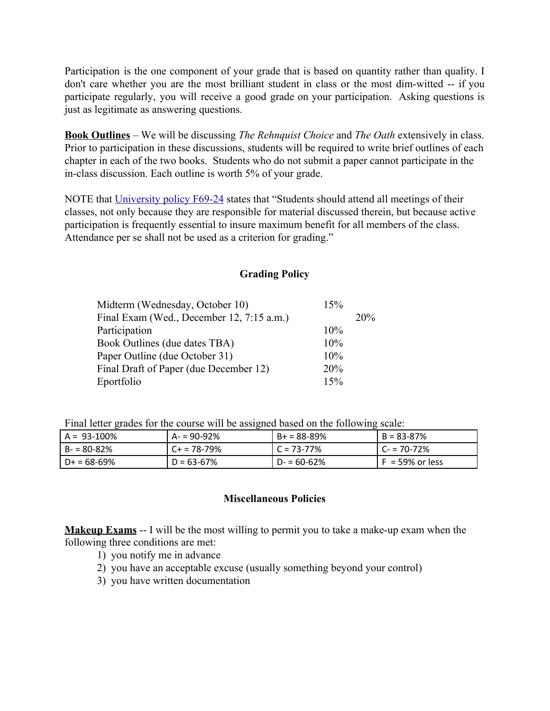Participation is the one component of your grade that is based on quantity rather than quality. I don't care whether you are the most brilliant student in class or the most dim-witted -- if you participate regularly, you will receive a good grade on your participation. Asking questions is just as legitimate as answering questions.

**Book Outlines** – We will be discussing *The Rehnquist Choice* and *The Oath* extensively in class. Prior to participation in these discussions, students will be required to write brief outlines of each chapter in each of the two books. Students who do not submit a paper cannot participate in the in-class discussion. Each outline is worth 5% of your grade.

NOTE that [University policy F69-24](http://www.sjsu.edu/senate/docs/F69-24.pdf) states that "Students should attend all meetings of their classes, not only because they are responsible for material discussed therein, but because active participation is frequently essential to insure maximum benefit for all members of the class. Attendance per se shall not be used as a criterion for grading."

### **Grading Policy**

| Midterm (Wednesday, October 10)           | 15% |     |
|-------------------------------------------|-----|-----|
| Final Exam (Wed., December 12, 7:15 a.m.) |     | 20% |
| Participation                             | 10% |     |
| Book Outlines (due dates TBA)             | 10% |     |
| Paper Outline (due October 31)            | 10% |     |
| Final Draft of Paper (due December 12)    | 20% |     |
| Eportfolio                                | 15% |     |

Final letter grades for the course will be assigned based on the following scale:

| $A = 93 - 100\%$ | $A = 90 - 92%$ | $B+ = 88-89%$   | $B = 83 - 87%$     |
|------------------|----------------|-----------------|--------------------|
| $B - 80 - 82%$   | $C+ = 78-79%$  | $C = 73 - 77\%$ | $C = 70 - 72%$     |
| $D+ = 68-69%$    | $D = 63 - 67%$ | $D - 60 - 62%$  | $F = 59\%$ or less |

### **Miscellaneous Policies**

**Makeup Exams** -- I will be the most willing to permit you to take a make-up exam when the following three conditions are met:

- 1) you notify me in advance
- 2) you have an acceptable excuse (usually something beyond your control)
- 3) you have written documentation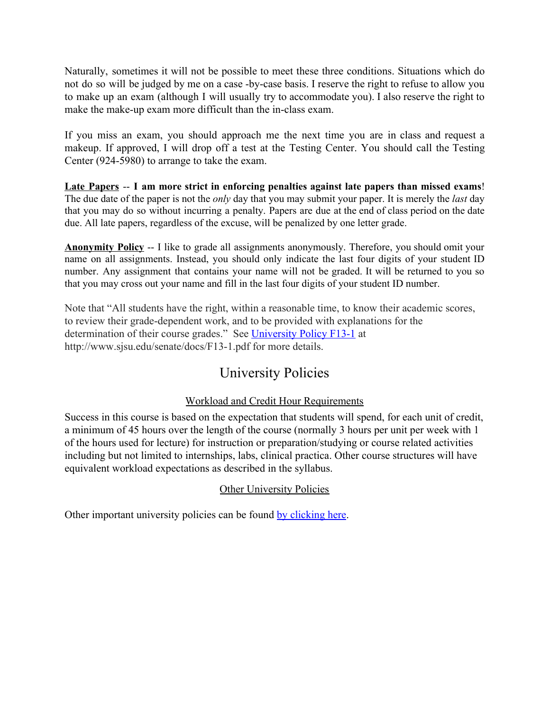Naturally, sometimes it will not be possible to meet these three conditions. Situations which do not do so will be judged by me on a case -by-case basis. I reserve the right to refuse to allow you to make up an exam (although I will usually try to accommodate you). I also reserve the right to make the make-up exam more difficult than the in-class exam.

If you miss an exam, you should approach me the next time you are in class and request a makeup. If approved, I will drop off a test at the Testing Center. You should call the Testing Center (924-5980) to arrange to take the exam.

**Late Papers** -- **I am more strict in enforcing penalties against late papers than missed exams**! The due date of the paper is not the *only* day that you may submit your paper. It is merely the *last* day that you may do so without incurring a penalty. Papers are due at the end of class period on the date due. All late papers, regardless of the excuse, will be penalized by one letter grade.

**Anonymity Policy** -- I like to grade all assignments anonymously. Therefore, you should omit your name on all assignments. Instead, you should only indicate the last four digits of your student ID number. Any assignment that contains your name will not be graded. It will be returned to you so that you may cross out your name and fill in the last four digits of your student ID number.

Note that "All students have the right, within a reasonable time, to know their academic scores, to review their grade-dependent work, and to be provided with explanations for the determination of their course grades." See [University Policy F13-1](http://www.sjsu.edu/senate/docs/F13-1.pdf) at http://www.sjsu.edu/senate/docs/F13-1.pdf for more details.

## University Policies

### Workload and Credit Hour Requirements

Success in this course is based on the expectation that students will spend, for each unit of credit, a minimum of 45 hours over the length of the course (normally 3 hours per unit per week with 1 of the hours used for lecture) for instruction or preparation/studying or course related activities including but not limited to internships, labs, clinical practica. Other course structures will have equivalent workload expectations as described in the syllabus.

### Other University Policies

Other important university policies can be found [by clicking here.](http://www.sjsu.edu/gup/syllabusinfo)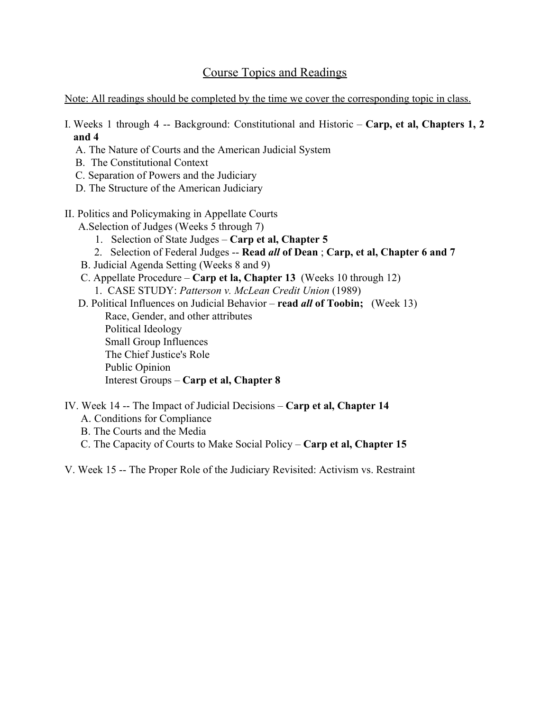## Course Topics and Readings

Note: All readings should be completed by the time we cover the corresponding topic in class.

I. Weeks 1 through 4 -- Background: Constitutional and Historic – **Carp, et al, Chapters 1, 2 and 4**

- A. The Nature of Courts and the American Judicial System
- B. The Constitutional Context
- C. Separation of Powers and the Judiciary
- D. The Structure of the American Judiciary
- II. Politics and Policymaking in Appellate Courts

A.Selection of Judges (Weeks 5 through 7)

- 1. Selection of State Judges **Carp et al, Chapter 5**
- 2. Selection of Federal Judges -- **Read** *all* **of Dean** ; **Carp, et al, Chapter 6 and 7**
- B. Judicial Agenda Setting (Weeks 8 and 9)
- C. Appellate Procedure **Carp et la, Chapter 13** (Weeks 10 through 12)

1. CASE STUDY: *Patterson v. McLean Credit Union* (1989)

 D. Political Influences on Judicial Behavior – **read** *all* **of Toobin;** (Week 13) Race, Gender, and other attributes Political Ideology Small Group Influences The Chief Justice's Role Public Opinion Interest Groups – **Carp et al, Chapter 8**

- IV. Week 14 -- The Impact of Judicial Decisions **Carp et al, Chapter 14**
	- A. Conditions for Compliance
	- B. The Courts and the Media
	- C. The Capacity of Courts to Make Social Policy **Carp et al, Chapter 15**

V. Week 15 -- The Proper Role of the Judiciary Revisited: Activism vs. Restraint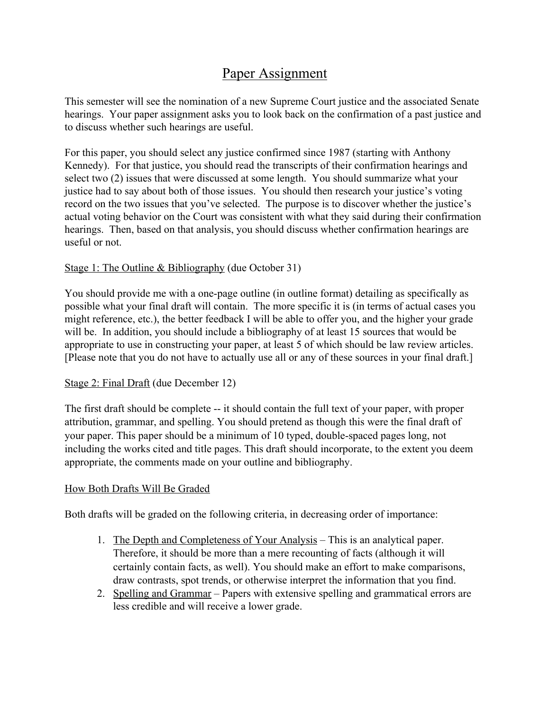## Paper Assignment

This semester will see the nomination of a new Supreme Court justice and the associated Senate hearings. Your paper assignment asks you to look back on the confirmation of a past justice and to discuss whether such hearings are useful.

For this paper, you should select any justice confirmed since 1987 (starting with Anthony Kennedy). For that justice, you should read the transcripts of their confirmation hearings and select two (2) issues that were discussed at some length. You should summarize what your justice had to say about both of those issues. You should then research your justice's voting record on the two issues that you've selected. The purpose is to discover whether the justice's actual voting behavior on the Court was consistent with what they said during their confirmation hearings. Then, based on that analysis, you should discuss whether confirmation hearings are useful or not.

### Stage 1: The Outline  $& Bibliography$  (due October 31)

You should provide me with a one-page outline (in outline format) detailing as specifically as possible what your final draft will contain. The more specific it is (in terms of actual cases you might reference, etc.), the better feedback I will be able to offer you, and the higher your grade will be. In addition, you should include a bibliography of at least 15 sources that would be appropriate to use in constructing your paper, at least 5 of which should be law review articles. [Please note that you do not have to actually use all or any of these sources in your final draft.]

### Stage 2: Final Draft (due December 12)

The first draft should be complete -- it should contain the full text of your paper, with proper attribution, grammar, and spelling. You should pretend as though this were the final draft of your paper. This paper should be a minimum of 10 typed, double-spaced pages long, not including the works cited and title pages. This draft should incorporate, to the extent you deem appropriate, the comments made on your outline and bibliography.

### How Both Drafts Will Be Graded

Both drafts will be graded on the following criteria, in decreasing order of importance:

- 1. The Depth and Completeness of Your Analysis This is an analytical paper. Therefore, it should be more than a mere recounting of facts (although it will certainly contain facts, as well). You should make an effort to make comparisons, draw contrasts, spot trends, or otherwise interpret the information that you find.
- 2. Spelling and Grammar Papers with extensive spelling and grammatical errors are less credible and will receive a lower grade.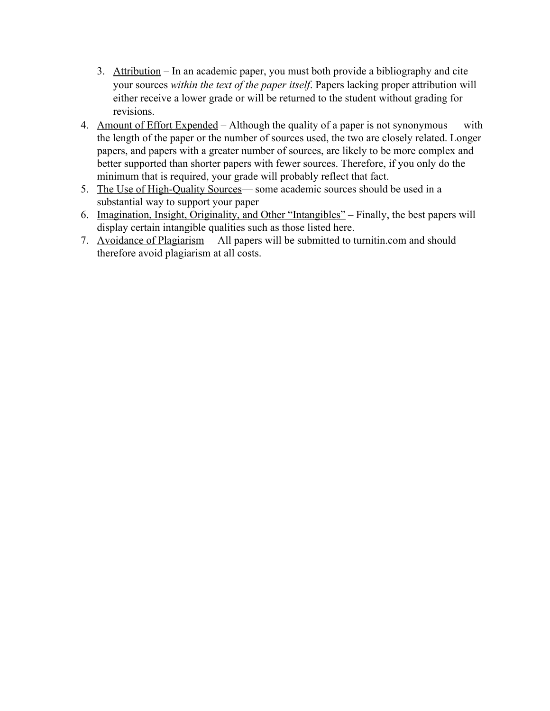- 3. Attribution In an academic paper, you must both provide a bibliography and cite your sources *within the text of the paper itself*. Papers lacking proper attribution will either receive a lower grade or will be returned to the student without grading for revisions.
- 4. Amount of Effort Expended Although the quality of a paper is not synonymous with the length of the paper or the number of sources used, the two are closely related. Longer papers, and papers with a greater number of sources, are likely to be more complex and better supported than shorter papers with fewer sources. Therefore, if you only do the minimum that is required, your grade will probably reflect that fact.
- 5. The Use of High-Quality Sources— some academic sources should be used in a substantial way to support your paper
- 6. Imagination, Insight, Originality, and Other "Intangibles" Finally, the best papers will display certain intangible qualities such as those listed here.
- 7. Avoidance of Plagiarism— All papers will be submitted to turnitin.com and should therefore avoid plagiarism at all costs.